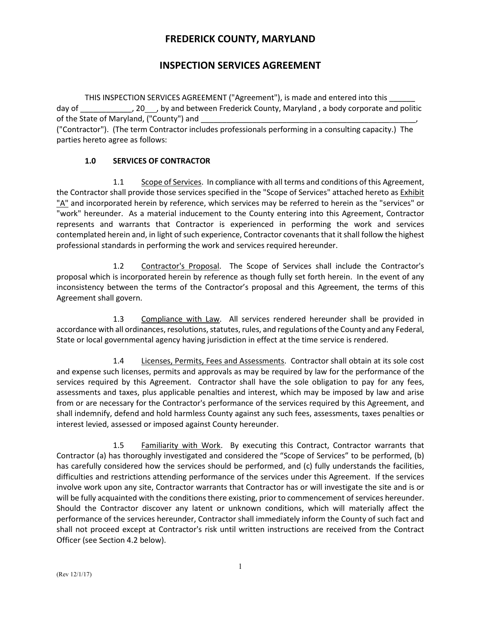# **FREDERICK COUNTY, MARYLAND**

# **INSPECTION SERVICES AGREEMENT**

THIS INSPECTION SERVICES AGREEMENT ("Agreement"), is made and entered into this day of \_\_\_\_\_\_\_\_\_\_\_\_\_, 20 \_\_\_, by and between Frederick County, Maryland , a body corporate and politic of the State of Maryland, ("County") and ("Contractor"). (The term Contractor includes professionals performing in a consulting capacity.) The parties hereto agree as follows:

## **1.0 SERVICES OF CONTRACTOR**

1.1 Scope of Services. In compliance with all terms and conditions of this Agreement, the Contractor shall provide those services specified in the "Scope of Services" attached hereto as Exhibit "A" and incorporated herein by reference, which services may be referred to herein as the "services" or "work" hereunder. As a material inducement to the County entering into this Agreement, Contractor represents and warrants that Contractor is experienced in performing the work and services contemplated herein and, in light of such experience, Contractor covenants that it shall follow the highest professional standards in performing the work and services required hereunder.

1.2 Contractor's Proposal. The Scope of Services shall include the Contractor's proposal which is incorporated herein by reference as though fully set forth herein. In the event of any inconsistency between the terms of the Contractor's proposal and this Agreement, the terms of this Agreement shall govern.

1.3 Compliance with Law. All services rendered hereunder shall be provided in accordance with all ordinances, resolutions, statutes, rules, and regulations of the County and any Federal, State or local governmental agency having jurisdiction in effect at the time service is rendered.

1.4 Licenses, Permits, Fees and Assessments. Contractor shall obtain at its sole cost and expense such licenses, permits and approvals as may be required by law for the performance of the services required by this Agreement. Contractor shall have the sole obligation to pay for any fees, assessments and taxes, plus applicable penalties and interest, which may be imposed by law and arise from or are necessary for the Contractor's performance of the services required by this Agreement, and shall indemnify, defend and hold harmless County against any such fees, assessments, taxes penalties or interest levied, assessed or imposed against County hereunder.

1.5 Familiarity with Work. By executing this Contract, Contractor warrants that Contractor (a) has thoroughly investigated and considered the "Scope of Services" to be performed, (b) has carefully considered how the services should be performed, and (c) fully understands the facilities, difficulties and restrictions attending performance of the services under this Agreement. If the services involve work upon any site, Contractor warrants that Contractor has or will investigate the site and is or will be fully acquainted with the conditions there existing, prior to commencement of services hereunder. Should the Contractor discover any latent or unknown conditions, which will materially affect the performance of the services hereunder, Contractor shall immediately inform the County of such fact and shall not proceed except at Contractor's risk until written instructions are received from the Contract Officer (see Section 4.2 below).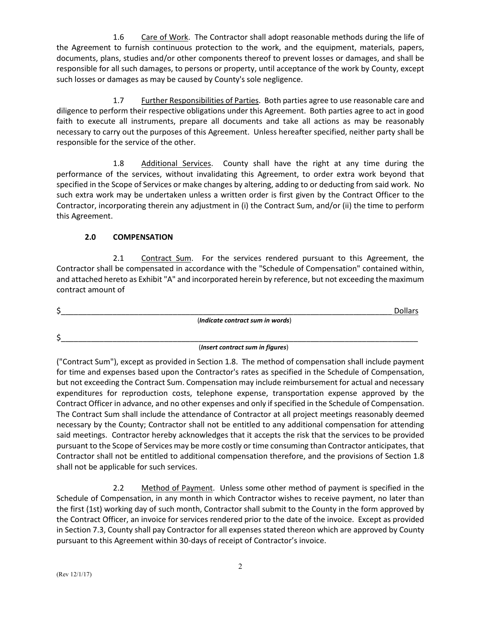1.6 Care of Work. The Contractor shall adopt reasonable methods during the life of the Agreement to furnish continuous protection to the work, and the equipment, materials, papers, documents, plans, studies and/or other components thereof to prevent losses or damages, and shall be responsible for all such damages, to persons or property, until acceptance of the work by County, except such losses or damages as may be caused by County's sole negligence.

1.7 Further Responsibilities of Parties. Both parties agree to use reasonable care and diligence to perform their respective obligations under this Agreement. Both parties agree to act in good faith to execute all instruments, prepare all documents and take all actions as may be reasonably necessary to carry out the purposes of this Agreement. Unless hereafter specified, neither party shall be responsible for the service of the other.

1.8 Additional Services. County shall have the right at any time during the performance of the services, without invalidating this Agreement, to order extra work beyond that specified in the Scope of Services or make changes by altering, adding to or deducting from said work. No such extra work may be undertaken unless a written order is first given by the Contract Officer to the Contractor, incorporating therein any adjustment in (i) the Contract Sum, and/or (ii) the time to perform this Agreement.

## **2.0 COMPENSATION**

2.1 Contract Sum. For the services rendered pursuant to this Agreement, the Contractor shall be compensated in accordance with the "Schedule of Compensation" contained within, and attached hereto as Exhibit "A" and incorporated herein by reference, but not exceeding the maximum contract amount of

\$\_\_\_\_\_\_\_\_\_\_\_\_\_\_\_\_\_\_\_\_\_\_\_\_\_\_\_\_\_\_\_\_\_\_\_\_\_\_\_\_\_\_\_\_\_\_\_\_\_\_\_\_\_\_\_\_\_\_\_\_\_\_\_\_\_\_\_\_\_\_\_\_\_\_\_\_\_ Dollars (*Indicate contract sum in words*)

\$\_\_\_\_\_\_\_\_\_\_\_\_\_\_\_\_\_\_\_\_\_\_\_\_\_\_\_\_\_\_\_\_\_\_\_\_\_\_\_\_\_\_\_\_\_\_\_\_\_\_\_\_\_\_\_\_\_\_\_\_\_\_\_\_\_\_\_\_\_\_\_\_\_\_\_\_\_\_\_\_\_\_\_

## (*Insert contract sum in figures*)

("Contract Sum"), except as provided in Section 1.8. The method of compensation shall include payment for time and expenses based upon the Contractor's rates as specified in the Schedule of Compensation, but not exceeding the Contract Sum. Compensation may include reimbursement for actual and necessary expenditures for reproduction costs, telephone expense, transportation expense approved by the Contract Officer in advance, and no other expenses and only if specified in the Schedule of Compensation. The Contract Sum shall include the attendance of Contractor at all project meetings reasonably deemed necessary by the County; Contractor shall not be entitled to any additional compensation for attending said meetings. Contractor hereby acknowledges that it accepts the risk that the services to be provided pursuant to the Scope of Services may be more costly or time consuming than Contractor anticipates, that Contractor shall not be entitled to additional compensation therefore, and the provisions of Section 1.8 shall not be applicable for such services.

2.2 Method of Payment. Unless some other method of payment is specified in the Schedule of Compensation, in any month in which Contractor wishes to receive payment, no later than the first (1st) working day of such month, Contractor shall submit to the County in the form approved by the Contract Officer, an invoice for services rendered prior to the date of the invoice. Except as provided in Section 7.3, County shall pay Contractor for all expenses stated thereon which are approved by County pursuant to this Agreement within 30-days of receipt of Contractor's invoice.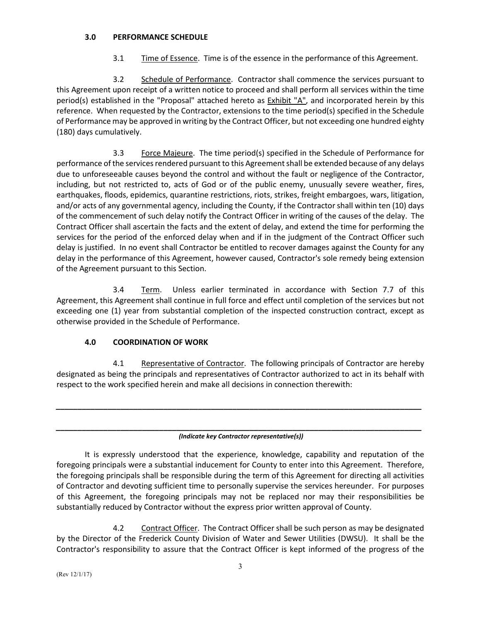### **3.0 PERFORMANCE SCHEDULE**

3.1 Time of Essence. Time is of the essence in the performance of this Agreement.

3.2 Schedule of Performance. Contractor shall commence the services pursuant to this Agreement upon receipt of a written notice to proceed and shall perform all services within the time period(s) established in the "Proposal" attached hereto as Exhibit "A", and incorporated herein by this reference. When requested by the Contractor, extensions to the time period(s) specified in the Schedule of Performance may be approved in writing by the Contract Officer, but not exceeding one hundred eighty (180) days cumulatively.

3.3 Force Majeure. The time period(s) specified in the Schedule of Performance for performance of the services rendered pursuant to this Agreement shall be extended because of any delays due to unforeseeable causes beyond the control and without the fault or negligence of the Contractor, including, but not restricted to, acts of God or of the public enemy, unusually severe weather, fires, earthquakes, floods, epidemics, quarantine restrictions, riots, strikes, freight embargoes, wars, litigation, and/or acts of any governmental agency, including the County, if the Contractor shall within ten (10) days of the commencement of such delay notify the Contract Officer in writing of the causes of the delay. The Contract Officer shall ascertain the facts and the extent of delay, and extend the time for performing the services for the period of the enforced delay when and if in the judgment of the Contract Officer such delay is justified. In no event shall Contractor be entitled to recover damages against the County for any delay in the performance of this Agreement, however caused, Contractor's sole remedy being extension of the Agreement pursuant to this Section.

3.4 Term. Unless earlier terminated in accordance with Section 7.7 of this Agreement, this Agreement shall continue in full force and effect until completion of the services but not exceeding one (1) year from substantial completion of the inspected construction contract, except as otherwise provided in the Schedule of Performance.

### **4.0 COORDINATION OF WORK**

4.1 Representative of Contractor. The following principals of Contractor are hereby designated as being the principals and representatives of Contractor authorized to act in its behalf with respect to the work specified herein and make all decisions in connection therewith:

*\_\_\_\_\_\_\_\_\_\_\_\_\_\_\_\_\_\_\_\_\_\_\_\_\_\_\_\_\_\_\_\_\_\_\_\_\_\_\_\_\_\_\_\_\_\_\_\_\_\_\_\_\_\_\_\_\_\_\_\_\_\_\_\_\_\_\_\_\_\_\_\_\_\_\_\_\_\_\_\_\_\_\_\_\_*

#### *\_\_\_\_\_\_\_\_\_\_\_\_\_\_\_\_\_\_\_\_\_\_\_\_\_\_\_\_\_\_\_\_\_\_\_\_\_\_\_\_\_\_\_\_\_\_\_\_\_\_\_\_\_\_\_\_\_\_\_\_\_\_\_\_\_\_\_\_\_\_\_\_\_\_\_\_\_\_\_\_\_\_\_\_\_ (Indicate key Contractor representative(s))*

It is expressly understood that the experience, knowledge, capability and reputation of the foregoing principals were a substantial inducement for County to enter into this Agreement. Therefore, the foregoing principals shall be responsible during the term of this Agreement for directing all activities of Contractor and devoting sufficient time to personally supervise the services hereunder. For purposes of this Agreement, the foregoing principals may not be replaced nor may their responsibilities be substantially reduced by Contractor without the express prior written approval of County.

4.2 Contract Officer. The Contract Officer shall be such person as may be designated by the Director of the Frederick County Division of Water and Sewer Utilities (DWSU). It shall be the Contractor's responsibility to assure that the Contract Officer is kept informed of the progress of the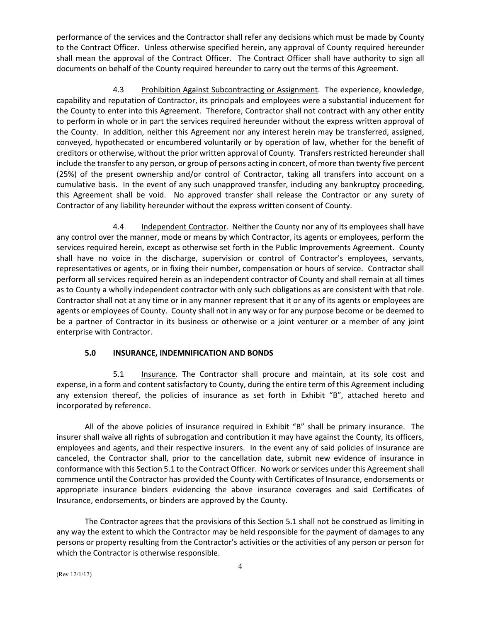performance of the services and the Contractor shall refer any decisions which must be made by County to the Contract Officer. Unless otherwise specified herein, any approval of County required hereunder shall mean the approval of the Contract Officer. The Contract Officer shall have authority to sign all documents on behalf of the County required hereunder to carry out the terms of this Agreement.

4.3 Prohibition Against Subcontracting or Assignment. The experience, knowledge, capability and reputation of Contractor, its principals and employees were a substantial inducement for the County to enter into this Agreement. Therefore, Contractor shall not contract with any other entity to perform in whole or in part the services required hereunder without the express written approval of the County. In addition, neither this Agreement nor any interest herein may be transferred, assigned, conveyed, hypothecated or encumbered voluntarily or by operation of law, whether for the benefit of creditors or otherwise, without the prior written approval of County. Transfers restricted hereunder shall include the transfer to any person, or group of persons acting in concert, of more than twenty five percent (25%) of the present ownership and/or control of Contractor, taking all transfers into account on a cumulative basis. In the event of any such unapproved transfer, including any bankruptcy proceeding, this Agreement shall be void. No approved transfer shall release the Contractor or any surety of Contractor of any liability hereunder without the express written consent of County.

4.4 Independent Contractor. Neither the County nor any of its employees shall have any control over the manner, mode or means by which Contractor, its agents or employees, perform the services required herein, except as otherwise set forth in the Public Improvements Agreement. County shall have no voice in the discharge, supervision or control of Contractor's employees, servants, representatives or agents, or in fixing their number, compensation or hours of service. Contractor shall perform all services required herein as an independent contractor of County and shall remain at all times as to County a wholly independent contractor with only such obligations as are consistent with that role. Contractor shall not at any time or in any manner represent that it or any of its agents or employees are agents or employees of County. County shall not in any way or for any purpose become or be deemed to be a partner of Contractor in its business or otherwise or a joint venturer or a member of any joint enterprise with Contractor.

## **5.0 INSURANCE, INDEMNIFICATION AND BONDS**

5.1 Insurance. The Contractor shall procure and maintain, at its sole cost and expense, in a form and content satisfactory to County, during the entire term of this Agreement including any extension thereof, the policies of insurance as set forth in Exhibit "B", attached hereto and incorporated by reference.

All of the above policies of insurance required in Exhibit "B" shall be primary insurance. The insurer shall waive all rights of subrogation and contribution it may have against the County, its officers, employees and agents, and their respective insurers. In the event any of said policies of insurance are canceled, the Contractor shall, prior to the cancellation date, submit new evidence of insurance in conformance with this Section 5.1 to the Contract Officer. No work or services under this Agreement shall commence until the Contractor has provided the County with Certificates of Insurance, endorsements or appropriate insurance binders evidencing the above insurance coverages and said Certificates of Insurance, endorsements, or binders are approved by the County.

The Contractor agrees that the provisions of this Section 5.1 shall not be construed as limiting in any way the extent to which the Contractor may be held responsible for the payment of damages to any persons or property resulting from the Contractor's activities or the activities of any person or person for which the Contractor is otherwise responsible.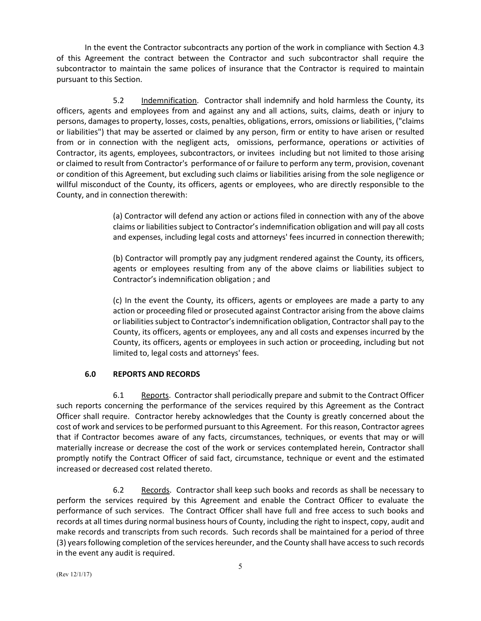In the event the Contractor subcontracts any portion of the work in compliance with Section 4.3 of this Agreement the contract between the Contractor and such subcontractor shall require the subcontractor to maintain the same polices of insurance that the Contractor is required to maintain pursuant to this Section.

5.2 Indemnification. Contractor shall indemnify and hold harmless the County, its officers, agents and employees from and against any and all actions, suits, claims, death or injury to persons, damages to property, losses, costs, penalties, obligations, errors, omissions or liabilities, ("claims or liabilities") that may be asserted or claimed by any person, firm or entity to have arisen or resulted from or in connection with the negligent acts, omissions, performance, operations or activities of Contractor, its agents, employees, subcontractors, or invitees including but not limited to those arising or claimed to result from Contractor's performance of or failure to perform any term, provision, covenant or condition of this Agreement, but excluding such claims or liabilities arising from the sole negligence or willful misconduct of the County, its officers, agents or employees, who are directly responsible to the County, and in connection therewith:

> (a) Contractor will defend any action or actions filed in connection with any of the above claims or liabilitiessubject to Contractor's indemnification obligation and will pay all costs and expenses, including legal costs and attorneys' fees incurred in connection therewith;

> (b) Contractor will promptly pay any judgment rendered against the County, its officers, agents or employees resulting from any of the above claims or liabilities subject to Contractor's indemnification obligation ; and

> (c) In the event the County, its officers, agents or employees are made a party to any action or proceeding filed or prosecuted against Contractor arising from the above claims or liabilities subject to Contractor's indemnification obligation, Contractor shall pay to the County, its officers, agents or employees, any and all costs and expenses incurred by the County, its officers, agents or employees in such action or proceeding, including but not limited to, legal costs and attorneys' fees.

## **6.0 REPORTS AND RECORDS**

6.1 Reports. Contractor shall periodically prepare and submit to the Contract Officer such reports concerning the performance of the services required by this Agreement as the Contract Officer shall require. Contractor hereby acknowledges that the County is greatly concerned about the cost of work and services to be performed pursuant to this Agreement. For this reason, Contractor agrees that if Contractor becomes aware of any facts, circumstances, techniques, or events that may or will materially increase or decrease the cost of the work or services contemplated herein, Contractor shall promptly notify the Contract Officer of said fact, circumstance, technique or event and the estimated increased or decreased cost related thereto.

6.2 Records. Contractor shall keep such books and records as shall be necessary to perform the services required by this Agreement and enable the Contract Officer to evaluate the performance of such services. The Contract Officer shall have full and free access to such books and records at all times during normal business hours of County, including the right to inspect, copy, audit and make records and transcripts from such records. Such records shall be maintained for a period of three (3) years following completion of the services hereunder, and the County shall have access to such records in the event any audit is required.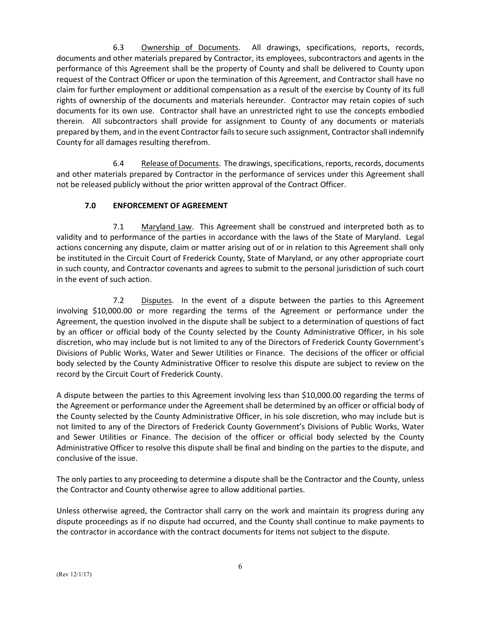6.3 Ownership of Documents. All drawings, specifications, reports, records, documents and other materials prepared by Contractor, its employees, subcontractors and agents in the performance of this Agreement shall be the property of County and shall be delivered to County upon request of the Contract Officer or upon the termination of this Agreement, and Contractor shall have no claim for further employment or additional compensation as a result of the exercise by County of its full rights of ownership of the documents and materials hereunder. Contractor may retain copies of such documents for its own use. Contractor shall have an unrestricted right to use the concepts embodied therein. All subcontractors shall provide for assignment to County of any documents or materials prepared by them, and in the event Contractor fails to secure such assignment, Contractor shall indemnify County for all damages resulting therefrom.

6.4 Release of Documents. The drawings, specifications, reports, records, documents and other materials prepared by Contractor in the performance of services under this Agreement shall not be released publicly without the prior written approval of the Contract Officer.

## **7.0 ENFORCEMENT OF AGREEMENT**

7.1 Maryland Law. This Agreement shall be construed and interpreted both as to validity and to performance of the parties in accordance with the laws of the State of Maryland. Legal actions concerning any dispute, claim or matter arising out of or in relation to this Agreement shall only be instituted in the Circuit Court of Frederick County, State of Maryland, or any other appropriate court in such county, and Contractor covenants and agrees to submit to the personal jurisdiction of such court in the event of such action.

7.2 Disputes. In the event of a dispute between the parties to this Agreement involving \$10,000.00 or more regarding the terms of the Agreement or performance under the Agreement, the question involved in the dispute shall be subject to a determination of questions of fact by an officer or official body of the County selected by the County Administrative Officer, in his sole discretion, who may include but is not limited to any of the Directors of Frederick County Government's Divisions of Public Works, Water and Sewer Utilities or Finance. The decisions of the officer or official body selected by the County Administrative Officer to resolve this dispute are subject to review on the record by the Circuit Court of Frederick County.

A dispute between the parties to this Agreement involving less than \$10,000.00 regarding the terms of the Agreement or performance under the Agreement shall be determined by an officer or official body of the County selected by the County Administrative Officer, in his sole discretion, who may include but is not limited to any of the Directors of Frederick County Government's Divisions of Public Works, Water and Sewer Utilities or Finance. The decision of the officer or official body selected by the County Administrative Officer to resolve this dispute shall be final and binding on the parties to the dispute, and conclusive of the issue.

The only parties to any proceeding to determine a dispute shall be the Contractor and the County, unless the Contractor and County otherwise agree to allow additional parties.

Unless otherwise agreed, the Contractor shall carry on the work and maintain its progress during any dispute proceedings as if no dispute had occurred, and the County shall continue to make payments to the contractor in accordance with the contract documents for items not subject to the dispute.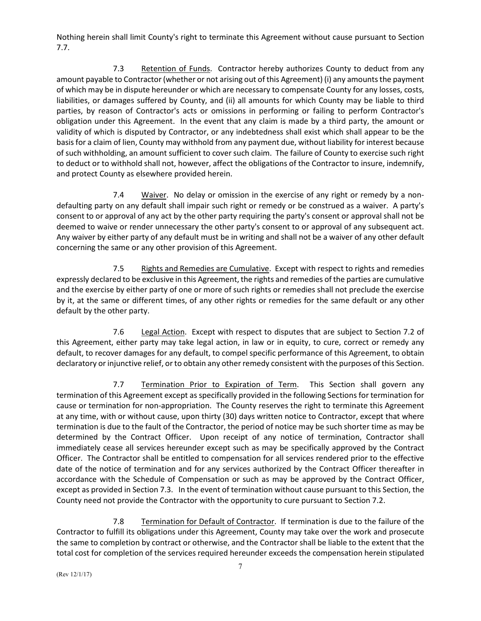Nothing herein shall limit County's right to terminate this Agreement without cause pursuant to Section 7.7.

7.3 Retention of Funds. Contractor hereby authorizes County to deduct from any amount payable to Contractor (whether or not arising out of this Agreement) (i) any amounts the payment of which may be in dispute hereunder or which are necessary to compensate County for any losses, costs, liabilities, or damages suffered by County, and (ii) all amounts for which County may be liable to third parties, by reason of Contractor's acts or omissions in performing or failing to perform Contractor's obligation under this Agreement. In the event that any claim is made by a third party, the amount or validity of which is disputed by Contractor, or any indebtedness shall exist which shall appear to be the basis for a claim of lien, County may withhold from any payment due, without liability for interest because of such withholding, an amount sufficient to cover such claim. The failure of County to exercise such right to deduct or to withhold shall not, however, affect the obligations of the Contractor to insure, indemnify, and protect County as elsewhere provided herein.

7.4 Waiver. No delay or omission in the exercise of any right or remedy by a nondefaulting party on any default shall impair such right or remedy or be construed as a waiver. A party's consent to or approval of any act by the other party requiring the party's consent or approval shall not be deemed to waive or render unnecessary the other party's consent to or approval of any subsequent act. Any waiver by either party of any default must be in writing and shall not be a waiver of any other default concerning the same or any other provision of this Agreement.

7.5 Rights and Remedies are Cumulative. Except with respect to rights and remedies expressly declared to be exclusive in this Agreement, the rights and remedies of the parties are cumulative and the exercise by either party of one or more of such rights or remedies shall not preclude the exercise by it, at the same or different times, of any other rights or remedies for the same default or any other default by the other party.

7.6 Legal Action. Except with respect to disputes that are subject to Section 7.2 of this Agreement, either party may take legal action, in law or in equity, to cure, correct or remedy any default, to recover damages for any default, to compel specific performance of this Agreement, to obtain declaratory or injunctive relief, or to obtain any other remedy consistent with the purposes of this Section.

7.7 Termination Prior to Expiration of Term. This Section shall govern any termination of this Agreement except as specifically provided in the following Sections for termination for cause or termination for non-appropriation. The County reserves the right to terminate this Agreement at any time, with or without cause, upon thirty (30) days written notice to Contractor, except that where termination is due to the fault of the Contractor, the period of notice may be such shorter time as may be determined by the Contract Officer. Upon receipt of any notice of termination, Contractor shall immediately cease all services hereunder except such as may be specifically approved by the Contract Officer. The Contractor shall be entitled to compensation for all services rendered prior to the effective date of the notice of termination and for any services authorized by the Contract Officer thereafter in accordance with the Schedule of Compensation or such as may be approved by the Contract Officer, except as provided in Section 7.3. In the event of termination without cause pursuant to this Section, the County need not provide the Contractor with the opportunity to cure pursuant to Section 7.2.

7.8 Termination for Default of Contractor. If termination is due to the failure of the Contractor to fulfill its obligations under this Agreement, County may take over the work and prosecute the same to completion by contract or otherwise, and the Contractor shall be liable to the extent that the total cost for completion of the services required hereunder exceeds the compensation herein stipulated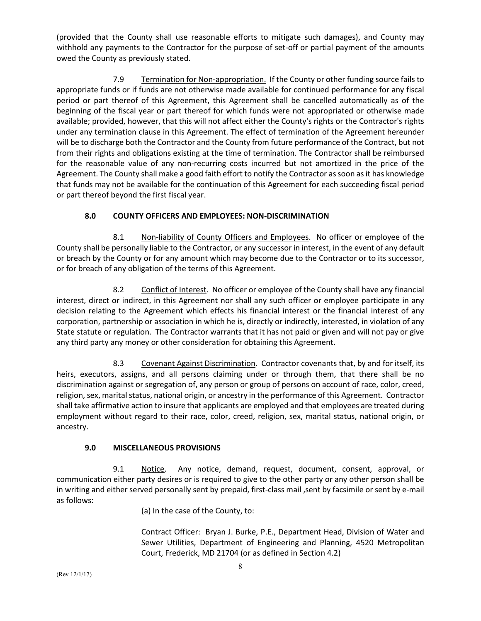(provided that the County shall use reasonable efforts to mitigate such damages), and County may withhold any payments to the Contractor for the purpose of set-off or partial payment of the amounts owed the County as previously stated.

7.9 Termination for Non-appropriation. If the County or other funding source fails to appropriate funds or if funds are not otherwise made available for continued performance for any fiscal period or part thereof of this Agreement, this Agreement shall be cancelled automatically as of the beginning of the fiscal year or part thereof for which funds were not appropriated or otherwise made available; provided, however, that this will not affect either the County's rights or the Contractor's rights under any termination clause in this Agreement. The effect of termination of the Agreement hereunder will be to discharge both the Contractor and the County from future performance of the Contract, but not from their rights and obligations existing at the time of termination. The Contractor shall be reimbursed for the reasonable value of any non-recurring costs incurred but not amortized in the price of the Agreement. The County shall make a good faith effort to notify the Contractor as soon as it has knowledge that funds may not be available for the continuation of this Agreement for each succeeding fiscal period or part thereof beyond the first fiscal year.

## **8.0 COUNTY OFFICERS AND EMPLOYEES: NON-DISCRIMINATION**

8.1 Non-liability of County Officers and Employees. No officer or employee of the County shall be personally liable to the Contractor, or any successor in interest, in the event of any default or breach by the County or for any amount which may become due to the Contractor or to its successor, or for breach of any obligation of the terms of this Agreement.

8.2 Conflict of Interest. No officer or employee of the County shall have any financial interest, direct or indirect, in this Agreement nor shall any such officer or employee participate in any decision relating to the Agreement which effects his financial interest or the financial interest of any corporation, partnership or association in which he is, directly or indirectly, interested, in violation of any State statute or regulation. The Contractor warrants that it has not paid or given and will not pay or give any third party any money or other consideration for obtaining this Agreement.

8.3 Covenant Against Discrimination. Contractor covenants that, by and for itself, its heirs, executors, assigns, and all persons claiming under or through them, that there shall be no discrimination against or segregation of, any person or group of persons on account of race, color, creed, religion, sex, marital status, national origin, or ancestry in the performance of this Agreement. Contractor shall take affirmative action to insure that applicants are employed and that employees are treated during employment without regard to their race, color, creed, religion, sex, marital status, national origin, or ancestry.

## **9.0 MISCELLANEOUS PROVISIONS**

9.1 Notice. Any notice, demand, request, document, consent, approval, or communication either party desires or is required to give to the other party or any other person shall be in writing and either served personally sent by prepaid, first-class mail ,sent by facsimile or sent by e-mail as follows:

(a) In the case of the County, to:

Contract Officer: Bryan J. Burke, P.E., Department Head, Division of Water and Sewer Utilities, Department of Engineering and Planning, 4520 Metropolitan Court, Frederick, MD 21704 (or as defined in Section 4.2)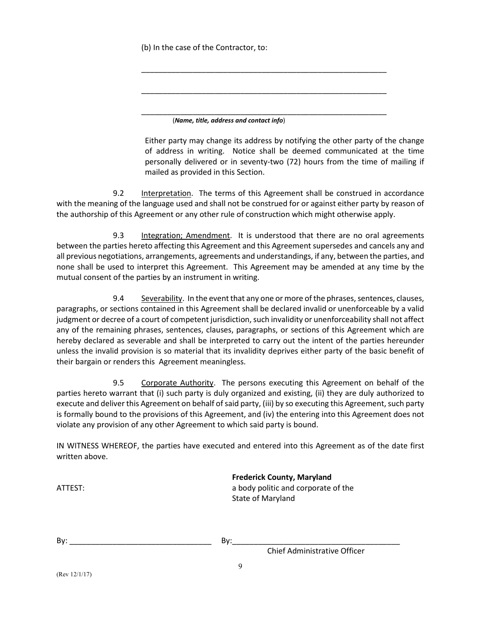(b) In the case of the Contractor, to:

\_\_\_\_\_\_\_\_\_\_\_\_\_\_\_\_\_\_\_\_\_\_\_\_\_\_\_\_\_\_\_\_\_\_\_\_\_\_\_\_\_\_\_\_\_\_\_\_\_\_\_\_\_\_\_\_\_ (*Name, title, address and contact info*)

Either party may change its address by notifying the other party of the change of address in writing. Notice shall be deemed communicated at the time personally delivered or in seventy-two (72) hours from the time of mailing if mailed as provided in this Section.

\_\_\_\_\_\_\_\_\_\_\_\_\_\_\_\_\_\_\_\_\_\_\_\_\_\_\_\_\_\_\_\_\_\_\_\_\_\_\_\_\_\_\_\_\_\_\_\_\_\_\_\_\_\_\_\_\_

\_\_\_\_\_\_\_\_\_\_\_\_\_\_\_\_\_\_\_\_\_\_\_\_\_\_\_\_\_\_\_\_\_\_\_\_\_\_\_\_\_\_\_\_\_\_\_\_\_\_\_\_\_\_\_\_\_

9.2 Interpretation. The terms of this Agreement shall be construed in accordance with the meaning of the language used and shall not be construed for or against either party by reason of the authorship of this Agreement or any other rule of construction which might otherwise apply.

9.3 Integration; Amendment. It is understood that there are no oral agreements between the parties hereto affecting this Agreement and this Agreement supersedes and cancels any and all previous negotiations, arrangements, agreements and understandings, if any, between the parties, and none shall be used to interpret this Agreement. This Agreement may be amended at any time by the mutual consent of the parties by an instrument in writing.

9.4 Severability. In the event that any one or more of the phrases, sentences, clauses, paragraphs, or sections contained in this Agreement shall be declared invalid or unenforceable by a valid judgment or decree of a court of competent jurisdiction, such invalidity or unenforceability shall not affect any of the remaining phrases, sentences, clauses, paragraphs, or sections of this Agreement which are hereby declared as severable and shall be interpreted to carry out the intent of the parties hereunder unless the invalid provision is so material that its invalidity deprives either party of the basic benefit of their bargain or renders this Agreement meaningless.

9.5 Corporate Authority. The persons executing this Agreement on behalf of the parties hereto warrant that (i) such party is duly organized and existing, (ii) they are duly authorized to execute and deliver this Agreement on behalf of said party, (iii) by so executing this Agreement, such party is formally bound to the provisions of this Agreement, and (iv) the entering into this Agreement does not violate any provision of any other Agreement to which said party is bound.

IN WITNESS WHEREOF, the parties have executed and entered into this Agreement as of the date first written above.

|         | <b>Frederick County, Maryland</b>   |
|---------|-------------------------------------|
| ATTEST: | a body politic and corporate of the |
|         | State of Maryland                   |

By: \_\_\_\_\_\_\_\_\_\_\_\_\_\_\_\_\_\_\_\_\_\_\_\_\_\_\_\_\_\_\_\_\_ By:\_\_\_\_\_\_\_\_\_\_\_\_\_\_\_\_\_\_\_\_\_\_\_\_\_\_\_\_\_\_\_\_\_\_\_\_\_\_\_

Chief Administrative Officer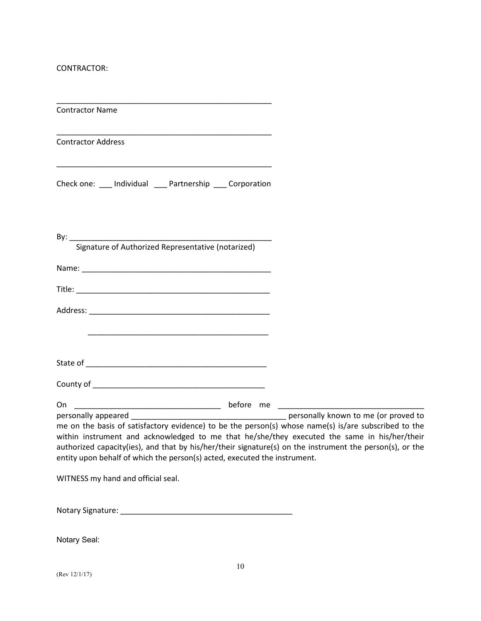CONTRACTOR:

\_\_\_\_\_\_\_\_\_\_\_\_\_\_\_\_\_\_\_\_\_\_\_\_\_\_\_\_\_\_\_\_\_\_\_\_\_\_\_\_\_\_\_\_\_\_\_\_\_\_

| <b>Contractor Name</b>                                                                                                                                                                                                                                                                                                                                                                        |  |
|-----------------------------------------------------------------------------------------------------------------------------------------------------------------------------------------------------------------------------------------------------------------------------------------------------------------------------------------------------------------------------------------------|--|
| <b>Contractor Address</b>                                                                                                                                                                                                                                                                                                                                                                     |  |
| Check one: ___ Individual ___ Partnership ___ Corporation                                                                                                                                                                                                                                                                                                                                     |  |
| Signature of Authorized Representative (notarized)                                                                                                                                                                                                                                                                                                                                            |  |
|                                                                                                                                                                                                                                                                                                                                                                                               |  |
| <u> 1989 - Johann John Stone, mars eta biztanleria (h. 1989).</u>                                                                                                                                                                                                                                                                                                                             |  |
|                                                                                                                                                                                                                                                                                                                                                                                               |  |
|                                                                                                                                                                                                                                                                                                                                                                                               |  |
| me on the basis of satisfactory evidence) to be the person(s) whose name(s) is/are subscribed to the<br>within instrument and acknowledged to me that he/she/they executed the same in his/her/their<br>authorized capacity(ies), and that by his/her/their signature(s) on the instrument the person(s), or the<br>entity upon behalf of which the person(s) acted, executed the instrument. |  |

WITNESS my hand and official seal.

Notary Signature: \_\_\_\_\_\_\_\_\_\_\_\_\_\_\_\_\_\_\_\_\_\_\_\_\_\_\_\_\_\_\_\_\_\_\_\_\_\_\_\_

Notary Seal: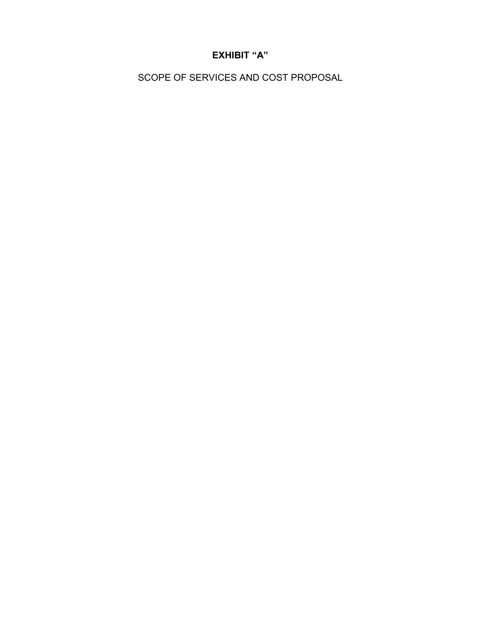# **EXHIBIT "A"**

SCOPE OF SERVICES AND COST PROPOSAL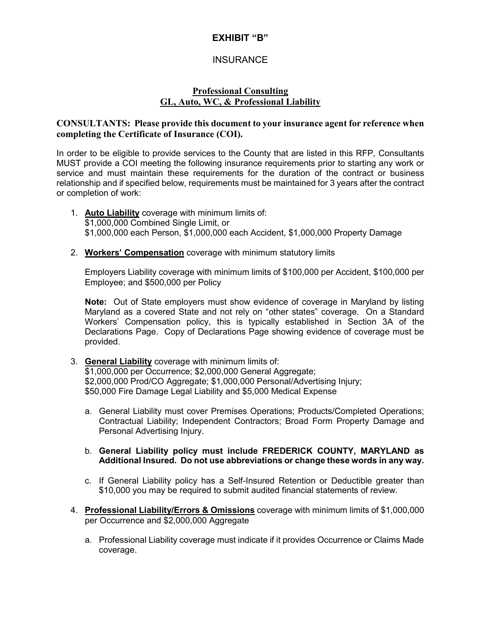## **EXHIBIT "B"**

## **INSURANCE**

## **Professional Consulting GL, Auto, WC, & Professional Liability**

## **CONSULTANTS: Please provide this document to your insurance agent for reference when completing the Certificate of Insurance (COI).**

In order to be eligible to provide services to the County that are listed in this RFP, Consultants MUST provide a COI meeting the following insurance requirements prior to starting any work or service and must maintain these requirements for the duration of the contract or business relationship and if specified below, requirements must be maintained for 3 years after the contract or completion of work:

- 1. **Auto Liability** coverage with minimum limits of: \$1,000,000 Combined Single Limit, or \$1,000,000 each Person, \$1,000,000 each Accident, \$1,000,000 Property Damage
- 2. **Workers' Compensation** coverage with minimum statutory limits

Employers Liability coverage with minimum limits of \$100,000 per Accident, \$100,000 per Employee; and \$500,000 per Policy

**Note:** Out of State employers must show evidence of coverage in Maryland by listing Maryland as a covered State and not rely on "other states" coverage. On a Standard Workers' Compensation policy, this is typically established in Section 3A of the Declarations Page. Copy of Declarations Page showing evidence of coverage must be provided.

- 3. **General Liability** coverage with minimum limits of: \$1,000,000 per Occurrence; \$2,000,000 General Aggregate; \$2,000,000 Prod/CO Aggregate; \$1,000,000 Personal/Advertising Injury; \$50,000 Fire Damage Legal Liability and \$5,000 Medical Expense
	- a. General Liability must cover Premises Operations; Products/Completed Operations; Contractual Liability; Independent Contractors; Broad Form Property Damage and Personal Advertising Injury.
	- b. **General Liability policy must include FREDERICK COUNTY, MARYLAND as Additional Insured. Do not use abbreviations or change these words in any way.**
	- c. If General Liability policy has a Self-Insured Retention or Deductible greater than \$10,000 you may be required to submit audited financial statements of review.
- 4. **Professional Liability/Errors & Omissions** coverage with minimum limits of \$1,000,000 per Occurrence and \$2,000,000 Aggregate
	- a. Professional Liability coverage must indicate if it provides Occurrence or Claims Made coverage.